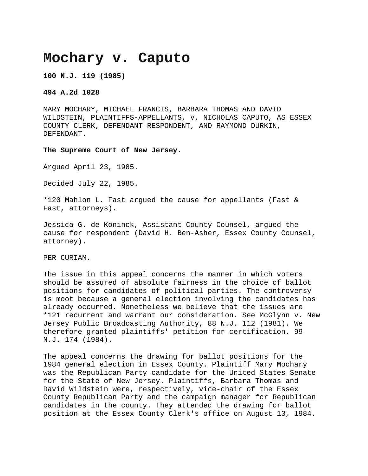## **Mochary v. Caputo**

**100 N.J. 119 (1985)**

**494 A.2d 1028**

MARY MOCHARY, MICHAEL FRANCIS, BARBARA THOMAS AND DAVID WILDSTEIN, PLAINTIFFS-APPELLANTS, v. NICHOLAS CAPUTO, AS ESSEX COUNTY CLERK, DEFENDANT-RESPONDENT, AND RAYMOND DURKIN, DEFENDANT.

**The Supreme Court of New Jersey.**

Argued April 23, 1985.

Decided July 22, 1985.

\*120 Mahlon L. Fast argued the cause for appellants (Fast & Fast, attorneys).

Jessica G. de Koninck, Assistant County Counsel, argued the cause for respondent (David H. Ben-Asher, Essex County Counsel, attorney).

PER CURIAM.

The issue in this appeal concerns the manner in which voters should be assured of absolute fairness in the choice of ballot positions for candidates of political parties. The controversy is moot because a general election involving the candidates has already occurred. Nonetheless we believe that the issues are \*121 recurrent and warrant our consideration. See McGlynn v. New Jersey Public Broadcasting Authority, 88 N.J. 112 (1981). We therefore granted plaintiffs' petition for certification. 99 N.J. 174 (1984).

The appeal concerns the drawing for ballot positions for the 1984 general election in Essex County. Plaintiff Mary Mochary was the Republican Party candidate for the United States Senate for the State of New Jersey. Plaintiffs, Barbara Thomas and David Wildstein were, respectively, vice-chair of the Essex County Republican Party and the campaign manager for Republican candidates in the county. They attended the drawing for ballot position at the Essex County Clerk's office on August 13, 1984.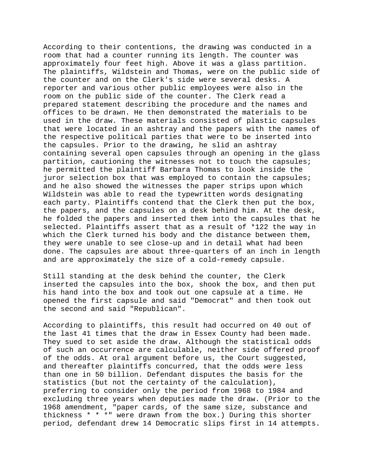According to their contentions, the drawing was conducted in a room that had a counter running its length. The counter was approximately four feet high. Above it was a glass partition. The plaintiffs, Wildstein and Thomas, were on the public side of the counter and on the Clerk's side were several desks. A reporter and various other public employees were also in the room on the public side of the counter. The Clerk read a prepared statement describing the procedure and the names and offices to be drawn. He then demonstrated the materials to be used in the draw. These materials consisted of plastic capsules that were located in an ashtray and the papers with the names of the respective political parties that were to be inserted into the capsules. Prior to the drawing, he slid an ashtray containing several open capsules through an opening in the glass partition, cautioning the witnesses not to touch the capsules; he permitted the plaintiff Barbara Thomas to look inside the juror selection box that was employed to contain the capsules; and he also showed the witnesses the paper strips upon which Wildstein was able to read the typewritten words designating each party. Plaintiffs contend that the Clerk then put the box, the papers, and the capsules on a desk behind him. At the desk, he folded the papers and inserted them into the capsules that he selected. Plaintiffs assert that as a result of \*122 the way in which the Clerk turned his body and the distance between them, they were unable to see close-up and in detail what had been done. The capsules are about three-quarters of an inch in length and are approximately the size of a cold-remedy capsule.

Still standing at the desk behind the counter, the Clerk inserted the capsules into the box, shook the box, and then put his hand into the box and took out one capsule at a time. He opened the first capsule and said "Democrat" and then took out the second and said "Republican".

According to plaintiffs, this result had occurred on 40 out of the last 41 times that the draw in Essex County had been made. They sued to set aside the draw. Although the statistical odds of such an occurrence are calculable, neither side offered proof of the odds. At oral argument before us, the Court suggested, and thereafter plaintiffs concurred, that the odds were less than one in 50 billion. Defendant disputes the basis for the statistics (but not the certainty of the calculation), preferring to consider only the period from 1968 to 1984 and excluding three years when deputies made the draw. (Prior to the 1968 amendment, "paper cards, of the same size, substance and thickness \* \* \*" were drawn from the box.) During this shorter period, defendant drew 14 Democratic slips first in 14 attempts.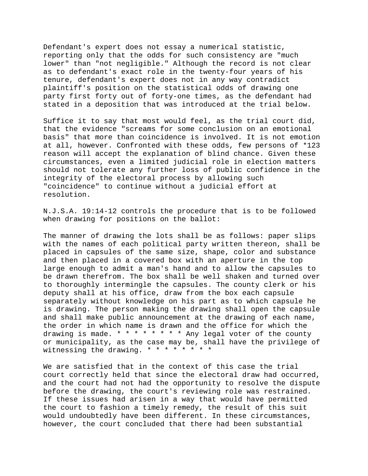Defendant's expert does not essay a numerical statistic, reporting only that the odds for such consistency are "much lower" than "not negligible." Although the record is not clear as to defendant's exact role in the twenty-four years of his tenure, defendant's expert does not in any way contradict plaintiff's position on the statistical odds of drawing one party first forty out of forty-one times, as the defendant had stated in a deposition that was introduced at the trial below.

Suffice it to say that most would feel, as the trial court did, that the evidence "screams for some conclusion on an emotional basis" that more than coincidence is involved. It is not emotion at all, however. Confronted with these odds, few persons of \*123 reason will accept the explanation of blind chance. Given these circumstances, even a limited judicial role in election matters should not tolerate any further loss of public confidence in the integrity of the electoral process by allowing such "coincidence" to continue without a judicial effort at resolution.

N.J.S.A. 19:14-12 controls the procedure that is to be followed when drawing for positions on the ballot:

The manner of drawing the lots shall be as follows: paper slips with the names of each political party written thereon, shall be placed in capsules of the same size, shape, color and substance and then placed in a covered box with an aperture in the top large enough to admit a man's hand and to allow the capsules to be drawn therefrom. The box shall be well shaken and turned over to thoroughly intermingle the capsules. The county clerk or his deputy shall at his office, draw from the box each capsule separately without knowledge on his part as to which capsule he is drawing. The person making the drawing shall open the capsule and shall make public announcement at the drawing of each name, the order in which name is drawn and the office for which the drawing is made.  $* * * * * * *$  Any legal voter of the county or municipality, as the case may be, shall have the privilege of witnessing the drawing. \* \* \* \* \* \* \* \*

We are satisfied that in the context of this case the trial court correctly held that since the electoral draw had occurred, and the court had not had the opportunity to resolve the dispute before the drawing, the court's reviewing role was restrained. If these issues had arisen in a way that would have permitted the court to fashion a timely remedy, the result of this suit would undoubtedly have been different. In these circumstances, however, the court concluded that there had been substantial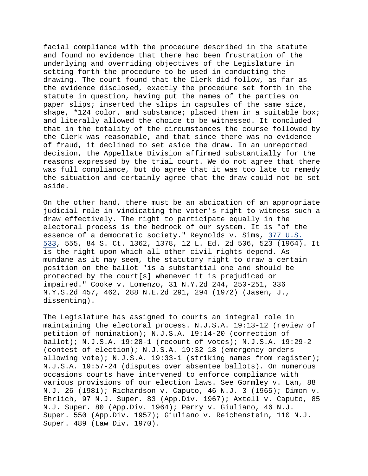facial compliance with the procedure described in the statute and found no evidence that there had been frustration of the underlying and overriding objectives of the Legislature in setting forth the procedure to be used in conducting the drawing. The court found that the Clerk did follow, as far as the evidence disclosed, exactly the procedure set forth in the statute in question, having put the names of the parties on paper slips; inserted the slips in capsules of the same size, shape, \*124 color, and substance; placed them in a suitable box; and literally allowed the choice to be witnessed. It concluded that in the totality of the circumstances the course followed by the Clerk was reasonable, and that since there was no evidence of fraud, it declined to set aside the draw. In an unreported decision, the Appellate Division affirmed substantially for the reasons expressed by the trial court. We do not agree that there was full compliance, but do agree that it was too late to remedy the situation and certainly agree that the draw could not be set aside.

On the other hand, there must be an abdication of an appropriate judicial role in vindicating the voter's right to witness such a draw effectively. The right to participate equally in the electoral process is the bedrock of our system. It is "of the essence of a democratic society." Reynolds v. Sims, [377 U.S.](https://supreme.justia.com/cases/federal/us/377/533/)  [533,](https://supreme.justia.com/cases/federal/us/377/533/) 555, 84 S. Ct. 1362, 1378, 12 L. Ed. 2d 506, 523 (1964). It is the right upon which all other civil rights depend. As mundane as it may seem, the statutory right to draw a certain position on the ballot "is a substantial one and should be protected by the court[s] whenever it is prejudiced or impaired." Cooke v. Lomenzo, 31 N.Y.2d 244, 250-251, 336 N.Y.S.2d 457, 462, 288 N.E.2d 291, 294 (1972) (Jasen, J., dissenting).

The Legislature has assigned to courts an integral role in maintaining the electoral process. N.J.S.A. 19:13-12 (review of petition of nomination); N.J.S.A. 19:14-20 (correction of ballot); N.J.S.A. 19:28-1 (recount of votes); N.J.S.A. 19:29-2 (contest of election); N.J.S.A. 19:32-18 (emergency orders allowing vote); N.J.S.A. 19:33-1 (striking names from register); N.J.S.A. 19:57-24 (disputes over absentee ballots). On numerous occasions courts have intervened to enforce compliance with various provisions of our election laws. See Gormley v. Lan, 88 N.J. 26 (1981); Richardson v. Caputo, 46 N.J. 3 (1965); Dimon v. Ehrlich, 97 N.J. Super. 83 (App.Div. 1967); Axtell v. Caputo, 85 N.J. Super. 80 (App.Div. 1964); Perry v. Giuliano, 46 N.J. Super. 550 (App.Div. 1957); Giuliano v. Reichenstein, 110 N.J. Super. 489 (Law Div. 1970).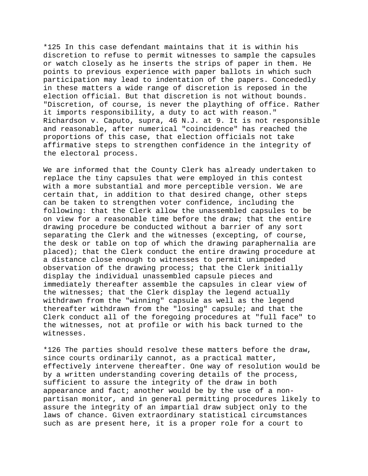\*125 In this case defendant maintains that it is within his discretion to refuse to permit witnesses to sample the capsules or watch closely as he inserts the strips of paper in them. He points to previous experience with paper ballots in which such participation may lead to indentation of the papers. Concededly in these matters a wide range of discretion is reposed in the election official. But that discretion is not without bounds. "Discretion, of course, is never the plaything of office. Rather it imports responsibility, a duty to act with reason." Richardson v. Caputo, supra, 46 N.J. at 9. It is not responsible and reasonable, after numerical "coincidence" has reached the proportions of this case, that election officials not take affirmative steps to strengthen confidence in the integrity of the electoral process.

We are informed that the County Clerk has already undertaken to replace the tiny capsules that were employed in this contest with a more substantial and more perceptible version. We are certain that, in addition to that desired change, other steps can be taken to strengthen voter confidence, including the following: that the Clerk allow the unassembled capsules to be on view for a reasonable time before the draw; that the entire drawing procedure be conducted without a barrier of any sort separating the Clerk and the witnesses (excepting, of course, the desk or table on top of which the drawing paraphernalia are placed); that the Clerk conduct the entire drawing procedure at a distance close enough to witnesses to permit unimpeded observation of the drawing process; that the Clerk initially display the individual unassembled capsule pieces and immediately thereafter assemble the capsules in clear view of the witnesses; that the Clerk display the legend actually withdrawn from the "winning" capsule as well as the legend thereafter withdrawn from the "losing" capsule; and that the Clerk conduct all of the foregoing procedures at "full face" to the witnesses, not at profile or with his back turned to the witnesses.

\*126 The parties should resolve these matters before the draw, since courts ordinarily cannot, as a practical matter, effectively intervene thereafter. One way of resolution would be by a written understanding covering details of the process, sufficient to assure the integrity of the draw in both appearance and fact; another would be by the use of a nonpartisan monitor, and in general permitting procedures likely to assure the integrity of an impartial draw subject only to the laws of chance. Given extraordinary statistical circumstances such as are present here, it is a proper role for a court to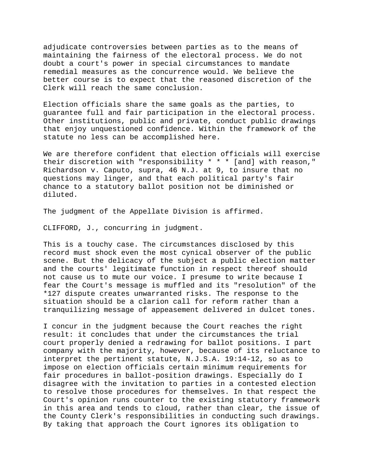adjudicate controversies between parties as to the means of maintaining the fairness of the electoral process. We do not doubt a court's power in special circumstances to mandate remedial measures as the concurrence would. We believe the better course is to expect that the reasoned discretion of the Clerk will reach the same conclusion.

Election officials share the same goals as the parties, to guarantee full and fair participation in the electoral process. Other institutions, public and private, conduct public drawings that enjoy unquestioned confidence. Within the framework of the statute no less can be accomplished here.

We are therefore confident that election officials will exercise their discretion with "responsibility \* \* \* [and] with reason," Richardson v. Caputo, supra, 46 N.J. at 9, to insure that no questions may linger, and that each political party's fair chance to a statutory ballot position not be diminished or diluted.

The judgment of the Appellate Division is affirmed.

CLIFFORD, J., concurring in judgment.

This is a touchy case. The circumstances disclosed by this record must shock even the most cynical observer of the public scene. But the delicacy of the subject a public election matter and the courts' legitimate function in respect thereof should not cause us to mute our voice. I presume to write because I fear the Court's message is muffled and its "resolution" of the \*127 dispute creates unwarranted risks. The response to the situation should be a clarion call for reform rather than a tranquilizing message of appeasement delivered in dulcet tones.

I concur in the judgment because the Court reaches the right result: it concludes that under the circumstances the trial court properly denied a redrawing for ballot positions. I part company with the majority, however, because of its reluctance to interpret the pertinent statute, N.J.S.A. 19:14-12, so as to impose on election officials certain minimum requirements for fair procedures in ballot-position drawings. Especially do I disagree with the invitation to parties in a contested election to resolve those procedures for themselves. In that respect the Court's opinion runs counter to the existing statutory framework in this area and tends to cloud, rather than clear, the issue of the County Clerk's responsibilities in conducting such drawings. By taking that approach the Court ignores its obligation to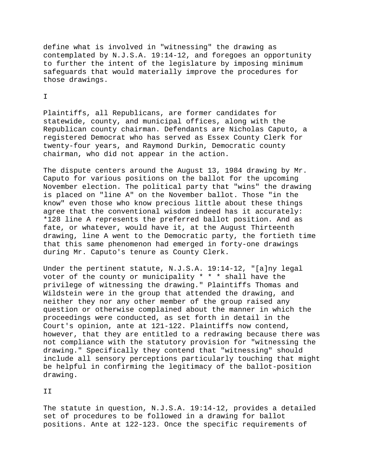define what is involved in "witnessing" the drawing as contemplated by N.J.S.A. 19:14-12, and foregoes an opportunity to further the intent of the legislature by imposing minimum safeguards that would materially improve the procedures for those drawings.

## I

Plaintiffs, all Republicans, are former candidates for statewide, county, and municipal offices, along with the Republican county chairman. Defendants are Nicholas Caputo, a registered Democrat who has served as Essex County Clerk for twenty-four years, and Raymond Durkin, Democratic county chairman, who did not appear in the action.

The dispute centers around the August 13, 1984 drawing by Mr. Caputo for various positions on the ballot for the upcoming November election. The political party that "wins" the drawing is placed on "line A" on the November ballot. Those "in the know" even those who know precious little about these things agree that the conventional wisdom indeed has it accurately: \*128 line A represents the preferred ballot position. And as fate, or whatever, would have it, at the August Thirteenth drawing, line A went to the Democratic party, the fortieth time that this same phenomenon had emerged in forty-one drawings during Mr. Caputo's tenure as County Clerk.

Under the pertinent statute, N.J.S.A. 19:14-12, "[a]ny legal voter of the county or municipality \* \* \* shall have the privilege of witnessing the drawing." Plaintiffs Thomas and Wildstein were in the group that attended the drawing, and neither they nor any other member of the group raised any question or otherwise complained about the manner in which the proceedings were conducted, as set forth in detail in the Court's opinion, ante at 121-122. Plaintiffs now contend, however, that they are entitled to a redrawing because there was not compliance with the statutory provision for "witnessing the drawing." Specifically they contend that "witnessing" should include all sensory perceptions particularly touching that might be helpful in confirming the legitimacy of the ballot-position drawing.

II

The statute in question, N.J.S.A. 19:14-12, provides a detailed set of procedures to be followed in a drawing for ballot positions. Ante at 122-123. Once the specific requirements of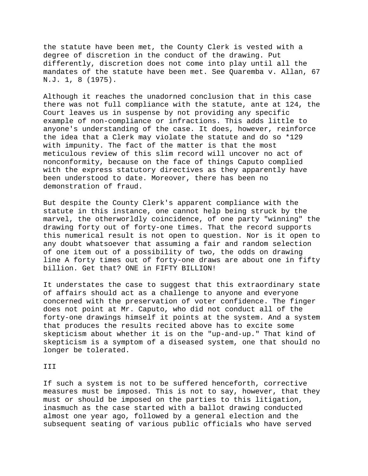the statute have been met, the County Clerk is vested with a degree of discretion in the conduct of the drawing. Put differently, discretion does not come into play until all the mandates of the statute have been met. See Quaremba v. Allan, 67 N.J. 1, 8 (1975).

Although it reaches the unadorned conclusion that in this case there was not full compliance with the statute, ante at 124, the Court leaves us in suspense by not providing any specific example of non-compliance or infractions. This adds little to anyone's understanding of the case. It does, however, reinforce the idea that a Clerk may violate the statute and do so \*129 with impunity. The fact of the matter is that the most meticulous review of this slim record will uncover no act of nonconformity, because on the face of things Caputo complied with the express statutory directives as they apparently have been understood to date. Moreover, there has been no demonstration of fraud.

But despite the County Clerk's apparent compliance with the statute in this instance, one cannot help being struck by the marvel, the otherworldly coincidence, of one party "winning" the drawing forty out of forty-one times. That the record supports this numerical result is not open to question. Nor is it open to any doubt whatsoever that assuming a fair and random selection of one item out of a possibility of two, the odds on drawing line A forty times out of forty-one draws are about one in fifty billion. Get that? ONE in FIFTY BILLION!

It understates the case to suggest that this extraordinary state of affairs should act as a challenge to anyone and everyone concerned with the preservation of voter confidence. The finger does not point at Mr. Caputo, who did not conduct all of the forty-one drawings himself it points at the system. And a system that produces the results recited above has to excite some skepticism about whether it is on the "up-and-up." That kind of skepticism is a symptom of a diseased system, one that should no longer be tolerated.

## III

If such a system is not to be suffered henceforth, corrective measures must be imposed. This is not to say, however, that they must or should be imposed on the parties to this litigation, inasmuch as the case started with a ballot drawing conducted almost one year ago, followed by a general election and the subsequent seating of various public officials who have served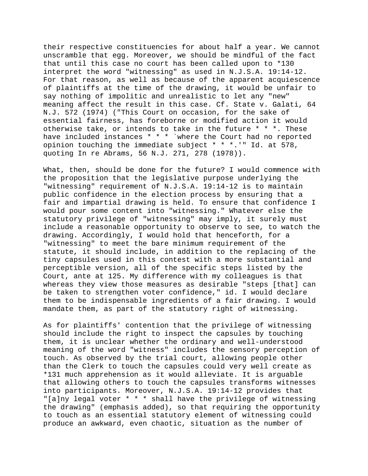their respective constituencies for about half a year. We cannot unscramble that egg. Moreover, we should be mindful of the fact that until this case no court has been called upon to \*130 interpret the word "witnessing" as used in N.J.S.A. 19:14-12. For that reason, as well as because of the apparent acquiescence of plaintiffs at the time of the drawing, it would be unfair to say nothing of impolitic and unrealistic to let any "new" meaning affect the result in this case. Cf. State v. Galati, 64 N.J. 572 (1974) ("This Court on occasion, for the sake of essential fairness, has foreborne or modified action it would otherwise take, or intends to take in the future \* \* \*. These have included instances \* \* \* `where the Court had no reported opinion touching the immediate subject \* \* \*.'" Id. at 578, quoting In re Abrams, 56 N.J. 271, 278 (1978)).

What, then, should be done for the future? I would commence with the proposition that the legislative purpose underlying the "witnessing" requirement of N.J.S.A. 19:14-12 is to maintain public confidence in the election process by ensuring that a fair and impartial drawing is held. To ensure that confidence I would pour some content into "witnessing." Whatever else the statutory privilege of "witnessing" may imply, it surely must include a reasonable opportunity to observe to see, to watch the drawing. Accordingly, I would hold that henceforth, for a "witnessing" to meet the bare minimum requirement of the statute, it should include, in addition to the replacing of the tiny capsules used in this contest with a more substantial and perceptible version, all of the specific steps listed by the Court, ante at 125. My difference with my colleagues is that whereas they view those measures as desirable "steps [that] can be taken to strengthen voter confidence," id. I would declare them to be indispensable ingredients of a fair drawing. I would mandate them, as part of the statutory right of witnessing.

As for plaintiffs' contention that the privilege of witnessing should include the right to inspect the capsules by touching them, it is unclear whether the ordinary and well-understood meaning of the word "witness" includes the sensory perception of touch. As observed by the trial court, allowing people other than the Clerk to touch the capsules could very well create as \*131 much apprehension as it would alleviate. It is arguable that allowing others to touch the capsules transforms witnesses into participants. Moreover, N.J.S.A. 19:14-12 provides that "[a]ny legal voter \* \* \* shall have the privilege of witnessing the drawing" (emphasis added), so that requiring the opportunity to touch as an essential statutory element of witnessing could produce an awkward, even chaotic, situation as the number of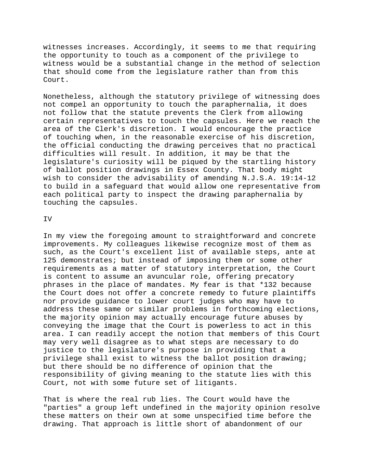witnesses increases. Accordingly, it seems to me that requiring the opportunity to touch as a component of the privilege to witness would be a substantial change in the method of selection that should come from the legislature rather than from this Court.

Nonetheless, although the statutory privilege of witnessing does not compel an opportunity to touch the paraphernalia, it does not follow that the statute prevents the Clerk from allowing certain representatives to touch the capsules. Here we reach the area of the Clerk's discretion. I would encourage the practice of touching when, in the reasonable exercise of his discretion, the official conducting the drawing perceives that no practical difficulties will result. In addition, it may be that the legislature's curiosity will be piqued by the startling history of ballot position drawings in Essex County. That body might wish to consider the advisability of amending N.J.S.A. 19:14-12 to build in a safeguard that would allow one representative from each political party to inspect the drawing paraphernalia by touching the capsules.

IV

In my view the foregoing amount to straightforward and concrete improvements. My colleagues likewise recognize most of them as such, as the Court's excellent list of available steps, ante at 125 demonstrates; but instead of imposing them or some other requirements as a matter of statutory interpretation, the Court is content to assume an avuncular role, offering precatory phrases in the place of mandates. My fear is that \*132 because the Court does not offer a concrete remedy to future plaintiffs nor provide guidance to lower court judges who may have to address these same or similar problems in forthcoming elections, the majority opinion may actually encourage future abuses by conveying the image that the Court is powerless to act in this area. I can readily accept the notion that members of this Court may very well disagree as to what steps are necessary to do justice to the legislature's purpose in providing that a privilege shall exist to witness the ballot position drawing; but there should be no difference of opinion that the responsibility of giving meaning to the statute lies with this Court, not with some future set of litigants.

That is where the real rub lies. The Court would have the "parties" a group left undefined in the majority opinion resolve these matters on their own at some unspecified time before the drawing. That approach is little short of abandonment of our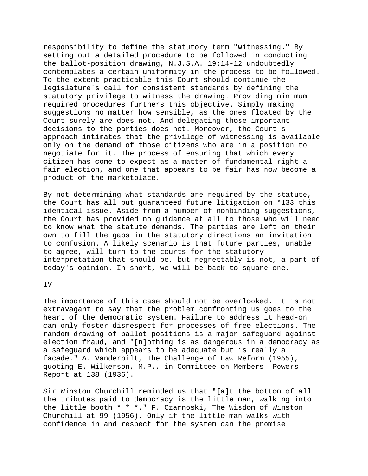responsibility to define the statutory term "witnessing." By setting out a detailed procedure to be followed in conducting the ballot-position drawing, N.J.S.A. 19:14-12 undoubtedly contemplates a certain uniformity in the process to be followed. To the extent practicable this Court should continue the legislature's call for consistent standards by defining the statutory privilege to witness the drawing. Providing minimum required procedures furthers this objective. Simply making suggestions no matter how sensible, as the ones floated by the Court surely are does not. And delegating those important decisions to the parties does not. Moreover, the Court's approach intimates that the privilege of witnessing is available only on the demand of those citizens who are in a position to negotiate for it. The process of ensuring that which every citizen has come to expect as a matter of fundamental right a fair election, and one that appears to be fair has now become a product of the marketplace.

By not determining what standards are required by the statute, the Court has all but guaranteed future litigation on \*133 this identical issue. Aside from a number of nonbinding suggestions, the Court has provided no guidance at all to those who will need to know what the statute demands. The parties are left on their own to fill the gaps in the statutory directions an invitation to confusion. A likely scenario is that future parties, unable to agree, will turn to the courts for the statutory interpretation that should be, but regrettably is not, a part of today's opinion. In short, we will be back to square one.

IV

The importance of this case should not be overlooked. It is not extravagant to say that the problem confronting us goes to the heart of the democratic system. Failure to address it head-on can only foster disrespect for processes of free elections. The random drawing of ballot positions is a major safeguard against election fraud, and "[n]othing is as dangerous in a democracy as a safeguard which appears to be adequate but is really a facade." A. Vanderbilt, The Challenge of Law Reform (1955), quoting E. Wilkerson, M.P., in Committee on Members' Powers Report at 138 (1936).

Sir Winston Churchill reminded us that "[a]t the bottom of all the tributes paid to democracy is the little man, walking into the little booth \* \* \*." F. Czarnoski, The Wisdom of Winston Churchill at 99 (1956). Only if the little man walks with confidence in and respect for the system can the promise